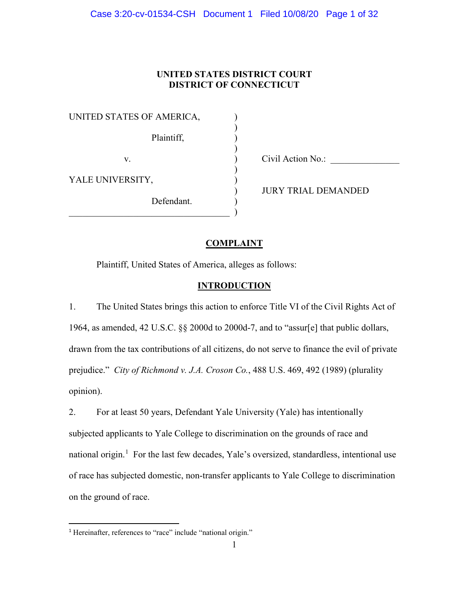## **UNITED STATES DISTRICT COURT DISTRICT OF CONNECTICUT**

)

)

)

UNITED STATES OF AMERICA, ) Plaintiff, (1) v. Civil Action No.: YALE UNIVERSITY, Defendant.

 $\qquad \qquad \qquad .$ 

) JURY TRIAL DEMANDED

# **COMPLAINT**

Plaintiff, United States of America, alleges as follows:

## **INTRODUCTION**

1. The United States brings this action to enforce Title VI of the Civil Rights Act of 1964, as amended, 42 U.S.C. §§ 2000d to 2000d-7, and to "assur[e] that public dollars, drawn from the tax contributions of all citizens, do not serve to finance the evil of private prejudice." *City of Richmond v. J.A. Croson Co.*, 488 U.S. 469, 492 (1989) (plurality opinion).

2. For at least 50 years, Defendant Yale University (Yale) has intentionally subjected applicants to Yale College to discrimination on the grounds of race and national origin.<sup>1</sup> For the last few decades, Yale's oversized, standardless, intentional use of race has subjected domestic, non-transfer applicants to Yale College to discrimination on the ground of race.

<sup>&</sup>lt;sup>1</sup> Hereinafter, references to "race" include "national origin."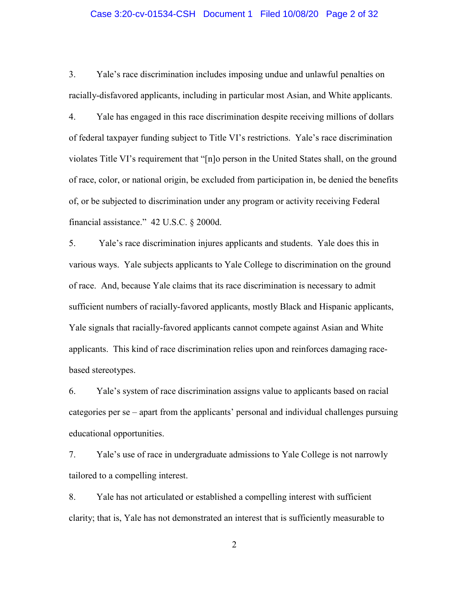### Case 3:20-cv-01534-CSH Document 1 Filed 10/08/20 Page 2 of 32

3. Yale's race discrimination includes imposing undue and unlawful penalties on racially-disfavored applicants, including in particular most Asian, and White applicants.

4. Yale has engaged in this race discrimination despite receiving millions of dollars of federal taxpayer funding subject to Title VI's restrictions. Yale's race discrimination violates Title VI's requirement that "[n]o person in the United States shall, on the ground of race, color, or national origin, be excluded from participation in, be denied the benefits of, or be subjected to discrimination under any program or activity receiving Federal financial assistance." 42 U.S.C. § 2000d.

5. Yale's race discrimination injures applicants and students. Yale does this in various ways. Yale subjects applicants to Yale College to discrimination on the ground of race. And, because Yale claims that its race discrimination is necessary to admit sufficient numbers of racially-favored applicants, mostly Black and Hispanic applicants, Yale signals that racially-favored applicants cannot compete against Asian and White applicants. This kind of race discrimination relies upon and reinforces damaging racebased stereotypes.

6. Yale's system of race discrimination assigns value to applicants based on racial categories per se – apart from the applicants' personal and individual challenges pursuing educational opportunities.

7. Yale's use of race in undergraduate admissions to Yale College is not narrowly tailored to a compelling interest.

8. Yale has not articulated or established a compelling interest with sufficient clarity; that is, Yale has not demonstrated an interest that is sufficiently measurable to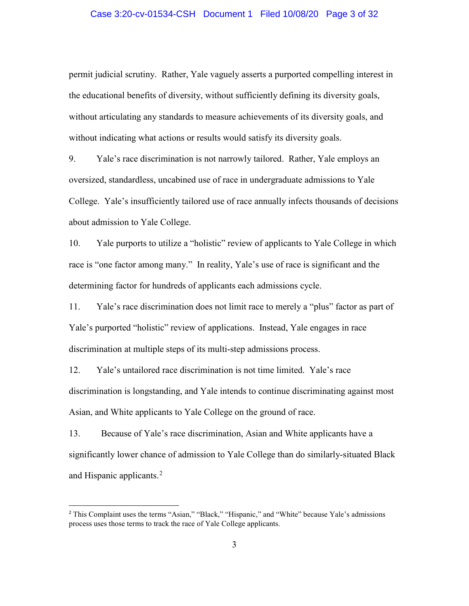### Case 3:20-cv-01534-CSH Document 1 Filed 10/08/20 Page 3 of 32

permit judicial scrutiny. Rather, Yale vaguely asserts a purported compelling interest in the educational benefits of diversity, without sufficiently defining its diversity goals, without articulating any standards to measure achievements of its diversity goals, and without indicating what actions or results would satisfy its diversity goals.

9. Yale's race discrimination is not narrowly tailored. Rather, Yale employs an oversized, standardless, uncabined use of race in undergraduate admissions to Yale College. Yale's insufficiently tailored use of race annually infects thousands of decisions about admission to Yale College.

10. Yale purports to utilize a "holistic" review of applicants to Yale College in which race is "one factor among many." In reality, Yale's use of race is significant and the determining factor for hundreds of applicants each admissions cycle.

11. Yale's race discrimination does not limit race to merely a "plus" factor as part of Yale's purported "holistic" review of applications. Instead, Yale engages in race discrimination at multiple steps of its multi-step admissions process.

12. Yale's untailored race discrimination is not time limited. Yale's race discrimination is longstanding, and Yale intends to continue discriminating against most Asian, and White applicants to Yale College on the ground of race.

13. Because of Yale's race discrimination, Asian and White applicants have a significantly lower chance of admission to Yale College than do similarly-situated Black and Hispanic applicants.<sup>2</sup>

<sup>&</sup>lt;sup>2</sup> This Complaint uses the terms "Asian," "Black," "Hispanic," and "White" because Yale's admissions process uses those terms to track the race of Yale College applicants.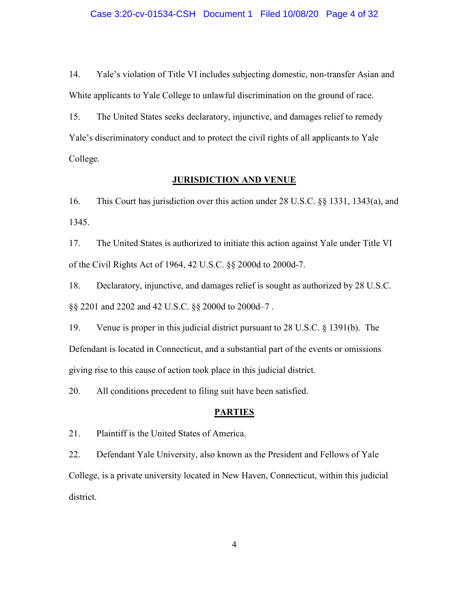14. Yale's violation of Title VI includes subjecting domestic, non-transfer Asian and White applicants to Yale College to unlawful discrimination on the ground of race.

15. The United States seeks declaratory, injunctive, and damages relief to remedy Yale's discriminatory conduct and to protect the civil rights of all applicants to Yale College.

# **JURISDICTION AND VENUE**

16. This Court has jurisdiction over this action under 28 U.S.C. §§ 1331, 1343(a), and 1345.

17. The United States is authorized to initiate this action against Yale under Title VI of the Civil Rights Act of 1964, 42 U.S.C. §§ 2000d to 2000d-7.

18. Declaratory, injunctive, and damages relief is sought as authorized by 28 U.S.C. §§ 2201 and 2202 and 42 U.S.C. §§ 2000d to 2000d–7 .

19. Venue is proper in this judicial district pursuant to 28 U.S.C. § 1391(b). The Defendant is located in Connecticut, and a substantial part of the events or omissions giving rise to this cause of action took place in this judicial district.

20. All conditions precedent to filing suit have been satisfied.

## **PARTIES**

21. Plaintiff is the United States of America.

22. Defendant Yale University, also known as the President and Fellows of Yale College, is a private university located in New Haven, Connecticut, within this judicial district.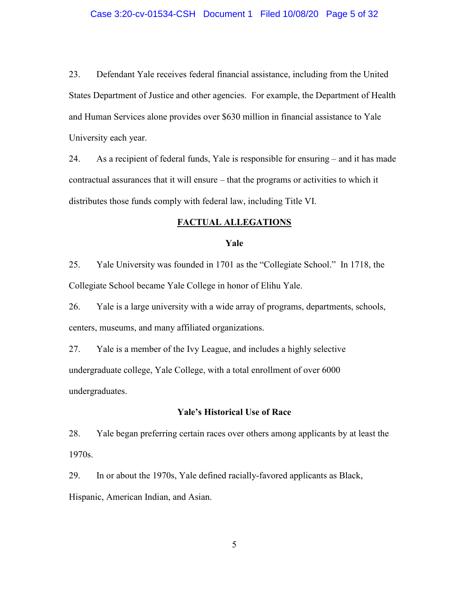#### Case 3:20-cv-01534-CSH Document 1 Filed 10/08/20 Page 5 of 32

23. Defendant Yale receives federal financial assistance, including from the United States Department of Justice and other agencies. For example, the Department of Health and Human Services alone provides over \$630 million in financial assistance to Yale University each year.

24. As a recipient of federal funds, Yale is responsible for ensuring – and it has made contractual assurances that it will ensure – that the programs or activities to which it distributes those funds comply with federal law, including Title VI.

#### **FACTUAL ALLEGATIONS**

#### **Yale**

25. Yale University was founded in 1701 as the "Collegiate School." In 1718, the Collegiate School became Yale College in honor of Elihu Yale.

26. Yale is a large university with a wide array of programs, departments, schools, centers, museums, and many affiliated organizations.

27. Yale is a member of the Ivy League, and includes a highly selective undergraduate college, Yale College, with a total enrollment of over 6000 undergraduates.

#### **Yale's Historical Use of Race**

28. Yale began preferring certain races over others among applicants by at least the 1970s.

29. In or about the 1970s, Yale defined racially-favored applicants as Black, Hispanic, American Indian, and Asian.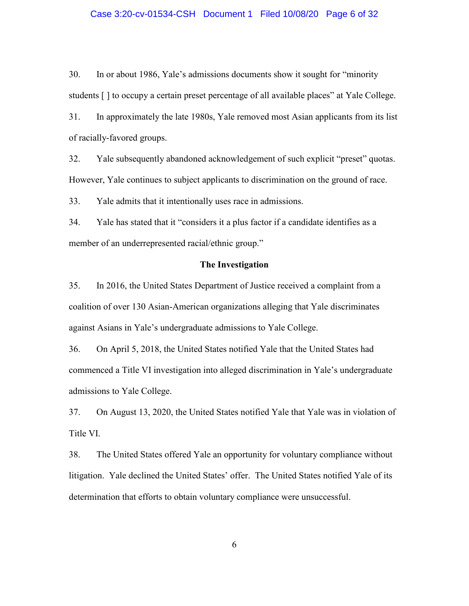## Case 3:20-cv-01534-CSH Document 1 Filed 10/08/20 Page 6 of 32

30. In or about 1986, Yale's admissions documents show it sought for "minority students [ ] to occupy a certain preset percentage of all available places" at Yale College.

31. In approximately the late 1980s, Yale removed most Asian applicants from its list of racially-favored groups.

32. Yale subsequently abandoned acknowledgement of such explicit "preset" quotas. However, Yale continues to subject applicants to discrimination on the ground of race.

33. Yale admits that it intentionally uses race in admissions.

34. Yale has stated that it "considers it a plus factor if a candidate identifies as a member of an underrepresented racial/ethnic group."

## **The Investigation**

35. In 2016, the United States Department of Justice received a complaint from a coalition of over 130 Asian-American organizations alleging that Yale discriminates against Asians in Yale's undergraduate admissions to Yale College.

36. On April 5, 2018, the United States notified Yale that the United States had commenced a Title VI investigation into alleged discrimination in Yale's undergraduate admissions to Yale College.

37. On August 13, 2020, the United States notified Yale that Yale was in violation of Title VI.

38. The United States offered Yale an opportunity for voluntary compliance without litigation. Yale declined the United States' offer. The United States notified Yale of its determination that efforts to obtain voluntary compliance were unsuccessful.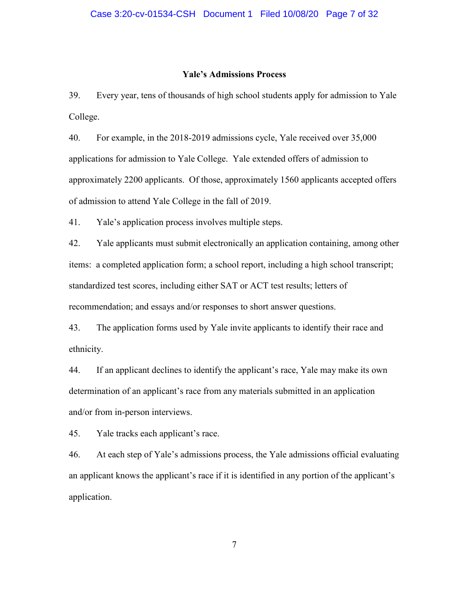#### **Yale's Admissions Process**

39. Every year, tens of thousands of high school students apply for admission to Yale College.

40. For example, in the 2018-2019 admissions cycle, Yale received over 35,000 applications for admission to Yale College. Yale extended offers of admission to approximately 2200 applicants. Of those, approximately 1560 applicants accepted offers of admission to attend Yale College in the fall of 2019.

41. Yale's application process involves multiple steps.

42. Yale applicants must submit electronically an application containing, among other items: a completed application form; a school report, including a high school transcript; standardized test scores, including either SAT or ACT test results; letters of recommendation; and essays and/or responses to short answer questions.

43. The application forms used by Yale invite applicants to identify their race and ethnicity.

44. If an applicant declines to identify the applicant's race, Yale may make its own determination of an applicant's race from any materials submitted in an application and/or from in-person interviews.

45. Yale tracks each applicant's race.

46. At each step of Yale's admissions process, the Yale admissions official evaluating an applicant knows the applicant's race if it is identified in any portion of the applicant's application.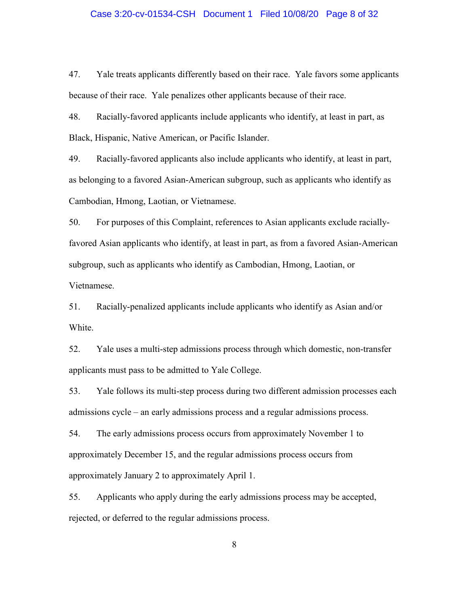#### Case 3:20-cv-01534-CSH Document 1 Filed 10/08/20 Page 8 of 32

47. Yale treats applicants differently based on their race. Yale favors some applicants because of their race. Yale penalizes other applicants because of their race.

48. Racially-favored applicants include applicants who identify, at least in part, as Black, Hispanic, Native American, or Pacific Islander.

49. Racially-favored applicants also include applicants who identify, at least in part, as belonging to a favored Asian-American subgroup, such as applicants who identify as Cambodian, Hmong, Laotian, or Vietnamese.

50. For purposes of this Complaint, references to Asian applicants exclude raciallyfavored Asian applicants who identify, at least in part, as from a favored Asian-American subgroup, such as applicants who identify as Cambodian, Hmong, Laotian, or Vietnamese.

51. Racially-penalized applicants include applicants who identify as Asian and/or White.

52. Yale uses a multi-step admissions process through which domestic, non-transfer applicants must pass to be admitted to Yale College.

53. Yale follows its multi-step process during two different admission processes each admissions cycle – an early admissions process and a regular admissions process.

54. The early admissions process occurs from approximately November 1 to approximately December 15, and the regular admissions process occurs from approximately January 2 to approximately April 1.

55. Applicants who apply during the early admissions process may be accepted, rejected, or deferred to the regular admissions process.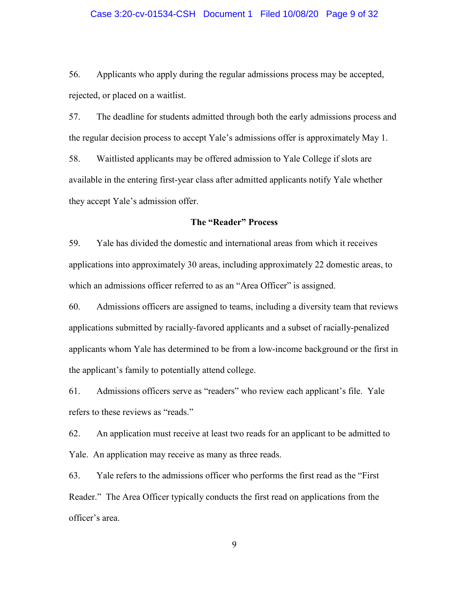## Case 3:20-cv-01534-CSH Document 1 Filed 10/08/20 Page 9 of 32

56. Applicants who apply during the regular admissions process may be accepted, rejected, or placed on a waitlist.

57. The deadline for students admitted through both the early admissions process and the regular decision process to accept Yale's admissions offer is approximately May 1. 58. Waitlisted applicants may be offered admission to Yale College if slots are available in the entering first-year class after admitted applicants notify Yale whether they accept Yale's admission offer.

#### **The "Reader" Process**

59. Yale has divided the domestic and international areas from which it receives applications into approximately 30 areas, including approximately 22 domestic areas, to which an admissions officer referred to as an "Area Officer" is assigned.

60. Admissions officers are assigned to teams, including a diversity team that reviews applications submitted by racially-favored applicants and a subset of racially-penalized applicants whom Yale has determined to be from a low-income background or the first in the applicant's family to potentially attend college.

61. Admissions officers serve as "readers" who review each applicant's file. Yale refers to these reviews as "reads."

62. An application must receive at least two reads for an applicant to be admitted to Yale. An application may receive as many as three reads.

63. Yale refers to the admissions officer who performs the first read as the "First Reader." The Area Officer typically conducts the first read on applications from the officer's area.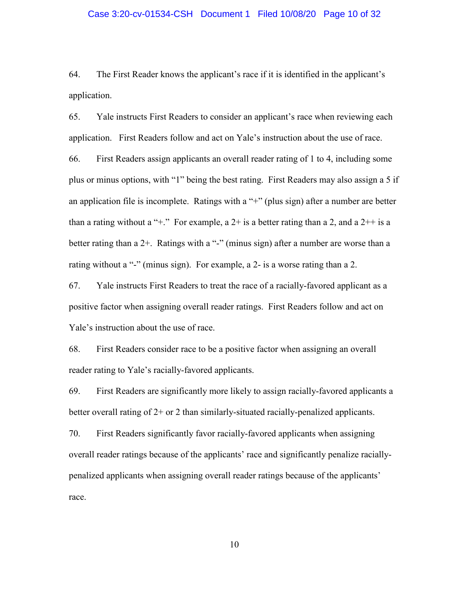## Case 3:20-cv-01534-CSH Document 1 Filed 10/08/20 Page 10 of 32

64. The First Reader knows the applicant's race if it is identified in the applicant's application.

65. Yale instructs First Readers to consider an applicant's race when reviewing each application. First Readers follow and act on Yale's instruction about the use of race. 66. First Readers assign applicants an overall reader rating of 1 to 4, including some plus or minus options, with "1" being the best rating. First Readers may also assign a 5 if an application file is incomplete. Ratings with a  $+$ " (plus sign) after a number are better than a rating without a "+." For example, a  $2+$  is a better rating than a 2, and a  $2++$  is a better rating than a 2+. Ratings with a "-" (minus sign) after a number are worse than a rating without a "-" (minus sign). For example, a 2- is a worse rating than a 2.

67. Yale instructs First Readers to treat the race of a racially-favored applicant as a positive factor when assigning overall reader ratings. First Readers follow and act on Yale's instruction about the use of race.

68. First Readers consider race to be a positive factor when assigning an overall reader rating to Yale's racially-favored applicants.

69. First Readers are significantly more likely to assign racially-favored applicants a better overall rating of 2+ or 2 than similarly-situated racially-penalized applicants.

70. First Readers significantly favor racially-favored applicants when assigning overall reader ratings because of the applicants' race and significantly penalize raciallypenalized applicants when assigning overall reader ratings because of the applicants' race.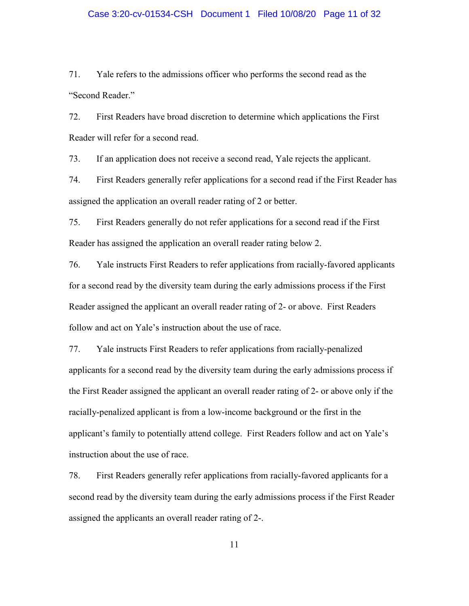## Case 3:20-cv-01534-CSH Document 1 Filed 10/08/20 Page 11 of 32

71. Yale refers to the admissions officer who performs the second read as the "Second Reader."

72. First Readers have broad discretion to determine which applications the First Reader will refer for a second read.

73. If an application does not receive a second read, Yale rejects the applicant.

74. First Readers generally refer applications for a second read if the First Reader has assigned the application an overall reader rating of 2 or better.

75. First Readers generally do not refer applications for a second read if the First Reader has assigned the application an overall reader rating below 2.

76. Yale instructs First Readers to refer applications from racially-favored applicants for a second read by the diversity team during the early admissions process if the First Reader assigned the applicant an overall reader rating of 2- or above. First Readers follow and act on Yale's instruction about the use of race.

77. Yale instructs First Readers to refer applications from racially-penalized applicants for a second read by the diversity team during the early admissions process if the First Reader assigned the applicant an overall reader rating of 2- or above only if the racially-penalized applicant is from a low-income background or the first in the applicant's family to potentially attend college. First Readers follow and act on Yale's instruction about the use of race.

78. First Readers generally refer applications from racially-favored applicants for a second read by the diversity team during the early admissions process if the First Reader assigned the applicants an overall reader rating of 2-.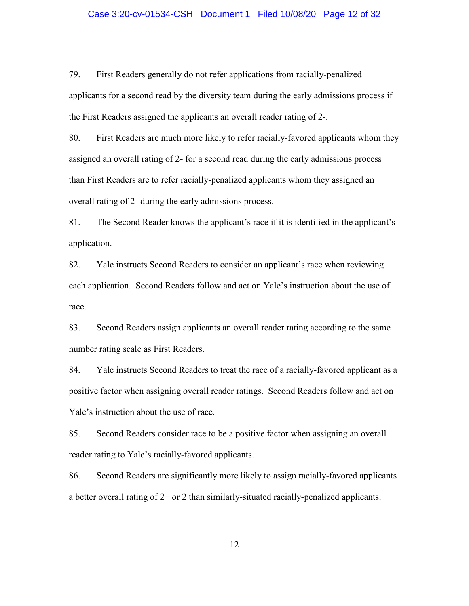## Case 3:20-cv-01534-CSH Document 1 Filed 10/08/20 Page 12 of 32

79. First Readers generally do not refer applications from racially-penalized applicants for a second read by the diversity team during the early admissions process if the First Readers assigned the applicants an overall reader rating of 2-.

80. First Readers are much more likely to refer racially-favored applicants whom they assigned an overall rating of 2- for a second read during the early admissions process than First Readers are to refer racially-penalized applicants whom they assigned an overall rating of 2- during the early admissions process.

81. The Second Reader knows the applicant's race if it is identified in the applicant's application.

82. Yale instructs Second Readers to consider an applicant's race when reviewing each application. Second Readers follow and act on Yale's instruction about the use of race.

83. Second Readers assign applicants an overall reader rating according to the same number rating scale as First Readers.

84. Yale instructs Second Readers to treat the race of a racially-favored applicant as a positive factor when assigning overall reader ratings. Second Readers follow and act on Yale's instruction about the use of race.

85. Second Readers consider race to be a positive factor when assigning an overall reader rating to Yale's racially-favored applicants.

86. Second Readers are significantly more likely to assign racially-favored applicants a better overall rating of 2+ or 2 than similarly-situated racially-penalized applicants.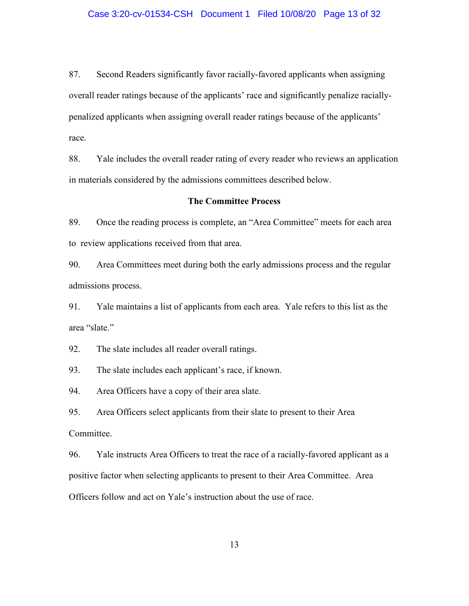### Case 3:20-cv-01534-CSH Document 1 Filed 10/08/20 Page 13 of 32

87. Second Readers significantly favor racially-favored applicants when assigning overall reader ratings because of the applicants' race and significantly penalize raciallypenalized applicants when assigning overall reader ratings because of the applicants' race.

88. Yale includes the overall reader rating of every reader who reviews an application in materials considered by the admissions committees described below.

## **The Committee Process**

89. Once the reading process is complete, an "Area Committee" meets for each area to review applications received from that area.

90. Area Committees meet during both the early admissions process and the regular admissions process.

91. Yale maintains a list of applicants from each area. Yale refers to this list as the area "slate."

92. The slate includes all reader overall ratings.

93. The slate includes each applicant's race, if known.

94. Area Officers have a copy of their area slate.

95. Area Officers select applicants from their slate to present to their Area Committee.

96. Yale instructs Area Officers to treat the race of a racially-favored applicant as a positive factor when selecting applicants to present to their Area Committee. Area Officers follow and act on Yale's instruction about the use of race.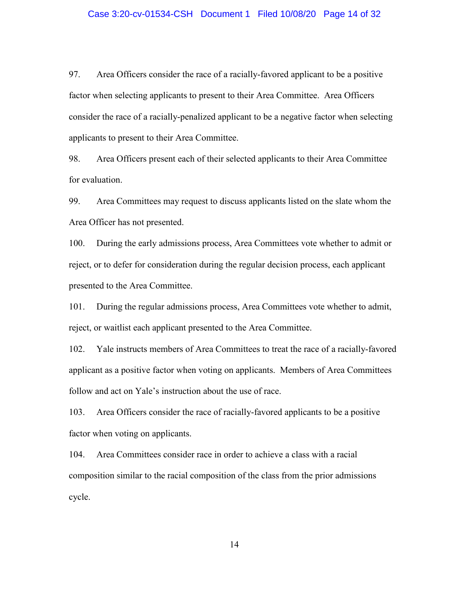#### Case 3:20-cv-01534-CSH Document 1 Filed 10/08/20 Page 14 of 32

97. Area Officers consider the race of a racially-favored applicant to be a positive factor when selecting applicants to present to their Area Committee. Area Officers consider the race of a racially-penalized applicant to be a negative factor when selecting applicants to present to their Area Committee.

98. Area Officers present each of their selected applicants to their Area Committee for evaluation.

99. Area Committees may request to discuss applicants listed on the slate whom the Area Officer has not presented.

100. During the early admissions process, Area Committees vote whether to admit or reject, or to defer for consideration during the regular decision process, each applicant presented to the Area Committee.

101. During the regular admissions process, Area Committees vote whether to admit, reject, or waitlist each applicant presented to the Area Committee.

102. Yale instructs members of Area Committees to treat the race of a racially-favored applicant as a positive factor when voting on applicants. Members of Area Committees follow and act on Yale's instruction about the use of race.

103. Area Officers consider the race of racially-favored applicants to be a positive factor when voting on applicants.

104. Area Committees consider race in order to achieve a class with a racial composition similar to the racial composition of the class from the prior admissions cycle.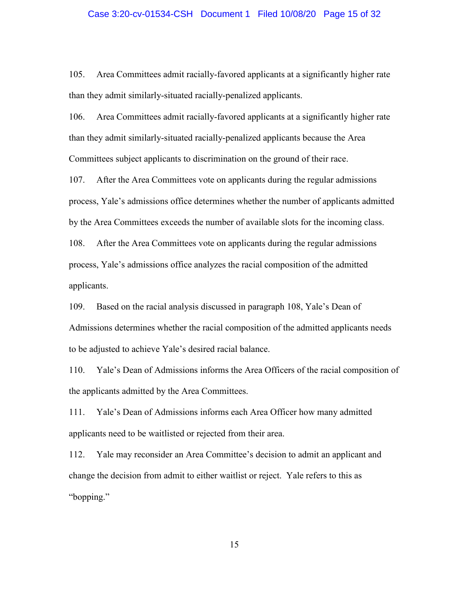### Case 3:20-cv-01534-CSH Document 1 Filed 10/08/20 Page 15 of 32

105. Area Committees admit racially-favored applicants at a significantly higher rate than they admit similarly-situated racially-penalized applicants.

106. Area Committees admit racially-favored applicants at a significantly higher rate than they admit similarly-situated racially-penalized applicants because the Area Committees subject applicants to discrimination on the ground of their race.

107. After the Area Committees vote on applicants during the regular admissions process, Yale's admissions office determines whether the number of applicants admitted by the Area Committees exceeds the number of available slots for the incoming class.

108. After the Area Committees vote on applicants during the regular admissions process, Yale's admissions office analyzes the racial composition of the admitted applicants.

109. Based on the racial analysis discussed in paragraph 108, Yale's Dean of Admissions determines whether the racial composition of the admitted applicants needs to be adjusted to achieve Yale's desired racial balance.

110. Yale's Dean of Admissions informs the Area Officers of the racial composition of the applicants admitted by the Area Committees.

111. Yale's Dean of Admissions informs each Area Officer how many admitted applicants need to be waitlisted or rejected from their area.

112. Yale may reconsider an Area Committee's decision to admit an applicant and change the decision from admit to either waitlist or reject. Yale refers to this as "bopping."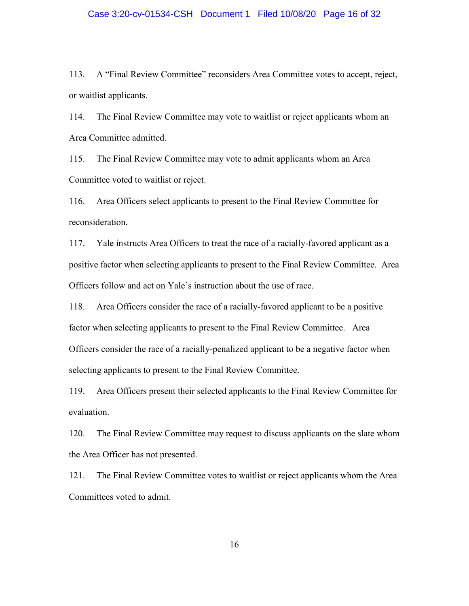#### Case 3:20-cv-01534-CSH Document 1 Filed 10/08/20 Page 16 of 32

113. A "Final Review Committee" reconsiders Area Committee votes to accept, reject, or waitlist applicants.

114. The Final Review Committee may vote to waitlist or reject applicants whom an Area Committee admitted.

115. The Final Review Committee may vote to admit applicants whom an Area Committee voted to waitlist or reject.

116. Area Officers select applicants to present to the Final Review Committee for reconsideration.

117. Yale instructs Area Officers to treat the race of a racially-favored applicant as a positive factor when selecting applicants to present to the Final Review Committee. Area Officers follow and act on Yale's instruction about the use of race.

118. Area Officers consider the race of a racially-favored applicant to be a positive factor when selecting applicants to present to the Final Review Committee. Area Officers consider the race of a racially-penalized applicant to be a negative factor when selecting applicants to present to the Final Review Committee.

119. Area Officers present their selected applicants to the Final Review Committee for evaluation.

120. The Final Review Committee may request to discuss applicants on the slate whom the Area Officer has not presented.

121. The Final Review Committee votes to waitlist or reject applicants whom the Area Committees voted to admit.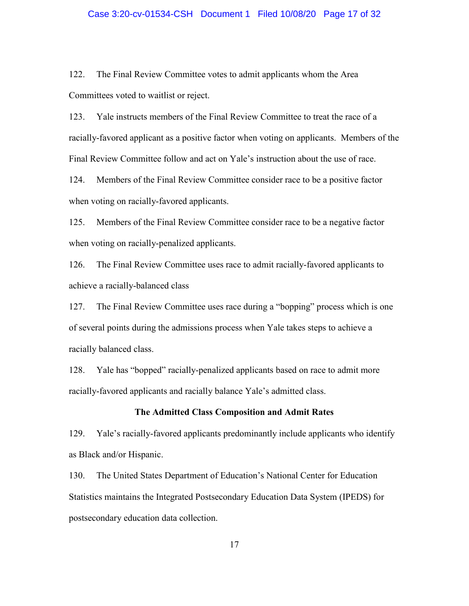## Case 3:20-cv-01534-CSH Document 1 Filed 10/08/20 Page 17 of 32

122. The Final Review Committee votes to admit applicants whom the Area Committees voted to waitlist or reject.

123. Yale instructs members of the Final Review Committee to treat the race of a racially-favored applicant as a positive factor when voting on applicants. Members of the Final Review Committee follow and act on Yale's instruction about the use of race.

124. Members of the Final Review Committee consider race to be a positive factor when voting on racially-favored applicants.

125. Members of the Final Review Committee consider race to be a negative factor when voting on racially-penalized applicants.

126. The Final Review Committee uses race to admit racially-favored applicants to achieve a racially-balanced class

127. The Final Review Committee uses race during a "bopping" process which is one of several points during the admissions process when Yale takes steps to achieve a racially balanced class.

128. Yale has "bopped" racially-penalized applicants based on race to admit more racially-favored applicants and racially balance Yale's admitted class.

## **The Admitted Class Composition and Admit Rates**

129. Yale's racially-favored applicants predominantly include applicants who identify as Black and/or Hispanic.

130. The United States Department of Education's National Center for Education Statistics maintains the Integrated Postsecondary Education Data System (IPEDS) for postsecondary education data collection.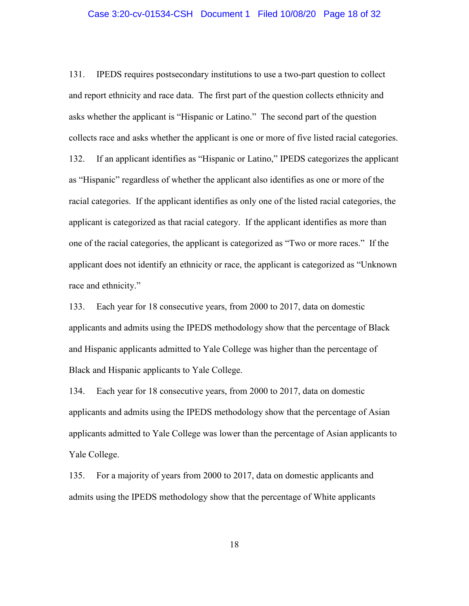#### Case 3:20-cv-01534-CSH Document 1 Filed 10/08/20 Page 18 of 32

131. IPEDS requires postsecondary institutions to use a two-part question to collect and report ethnicity and race data. The first part of the question collects ethnicity and asks whether the applicant is "Hispanic or Latino." The second part of the question collects race and asks whether the applicant is one or more of five listed racial categories. 132. If an applicant identifies as "Hispanic or Latino," IPEDS categorizes the applicant as "Hispanic" regardless of whether the applicant also identifies as one or more of the racial categories. If the applicant identifies as only one of the listed racial categories, the applicant is categorized as that racial category. If the applicant identifies as more than one of the racial categories, the applicant is categorized as "Two or more races." If the applicant does not identify an ethnicity or race, the applicant is categorized as "Unknown race and ethnicity."

133. Each year for 18 consecutive years, from 2000 to 2017, data on domestic applicants and admits using the IPEDS methodology show that the percentage of Black and Hispanic applicants admitted to Yale College was higher than the percentage of Black and Hispanic applicants to Yale College.

134. Each year for 18 consecutive years, from 2000 to 2017, data on domestic applicants and admits using the IPEDS methodology show that the percentage of Asian applicants admitted to Yale College was lower than the percentage of Asian applicants to Yale College.

135. For a majority of years from 2000 to 2017, data on domestic applicants and admits using the IPEDS methodology show that the percentage of White applicants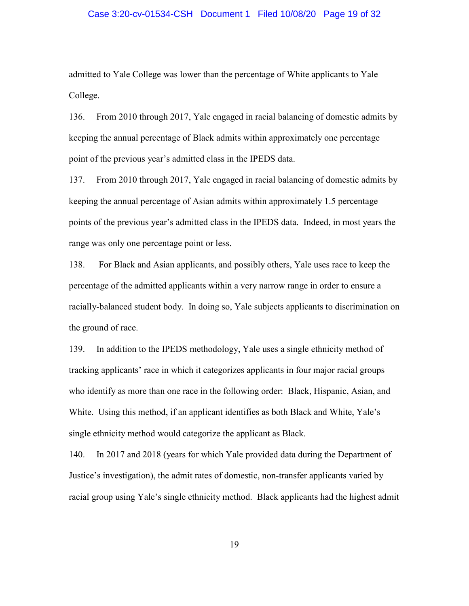## Case 3:20-cv-01534-CSH Document 1 Filed 10/08/20 Page 19 of 32

admitted to Yale College was lower than the percentage of White applicants to Yale College.

136. From 2010 through 2017, Yale engaged in racial balancing of domestic admits by keeping the annual percentage of Black admits within approximately one percentage point of the previous year's admitted class in the IPEDS data.

137. From 2010 through 2017, Yale engaged in racial balancing of domestic admits by keeping the annual percentage of Asian admits within approximately 1.5 percentage points of the previous year's admitted class in the IPEDS data. Indeed, in most years the range was only one percentage point or less.

138. For Black and Asian applicants, and possibly others, Yale uses race to keep the percentage of the admitted applicants within a very narrow range in order to ensure a racially-balanced student body. In doing so, Yale subjects applicants to discrimination on the ground of race.

139. In addition to the IPEDS methodology, Yale uses a single ethnicity method of tracking applicants' race in which it categorizes applicants in four major racial groups who identify as more than one race in the following order: Black, Hispanic, Asian, and White. Using this method, if an applicant identifies as both Black and White, Yale's single ethnicity method would categorize the applicant as Black.

140. In 2017 and 2018 (years for which Yale provided data during the Department of Justice's investigation), the admit rates of domestic, non-transfer applicants varied by racial group using Yale's single ethnicity method. Black applicants had the highest admit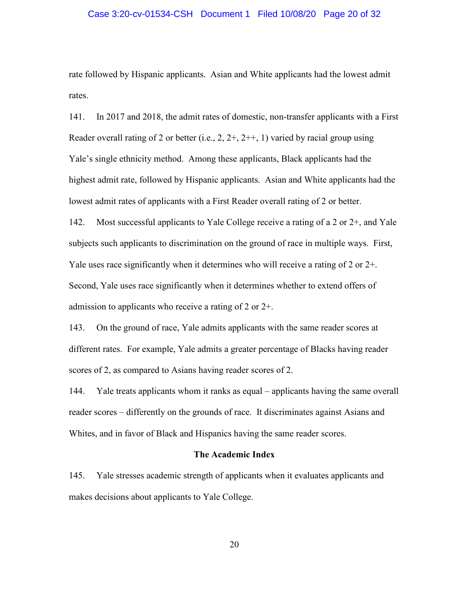## Case 3:20-cv-01534-CSH Document 1 Filed 10/08/20 Page 20 of 32

rate followed by Hispanic applicants. Asian and White applicants had the lowest admit rates.

141. In 2017 and 2018, the admit rates of domestic, non-transfer applicants with a First Reader overall rating of 2 or better (i.e.,  $2, 2+, 2+, 1$ ) varied by racial group using Yale's single ethnicity method. Among these applicants, Black applicants had the highest admit rate, followed by Hispanic applicants. Asian and White applicants had the lowest admit rates of applicants with a First Reader overall rating of 2 or better.

142. Most successful applicants to Yale College receive a rating of a 2 or 2+, and Yale subjects such applicants to discrimination on the ground of race in multiple ways. First, Yale uses race significantly when it determines who will receive a rating of 2 or 2+. Second, Yale uses race significantly when it determines whether to extend offers of admission to applicants who receive a rating of 2 or  $2+$ .

143. On the ground of race, Yale admits applicants with the same reader scores at different rates. For example, Yale admits a greater percentage of Blacks having reader scores of 2, as compared to Asians having reader scores of 2.

144. Yale treats applicants whom it ranks as equal – applicants having the same overall reader scores – differently on the grounds of race. It discriminates against Asians and Whites, and in favor of Black and Hispanics having the same reader scores.

#### **The Academic Index**

145. Yale stresses academic strength of applicants when it evaluates applicants and makes decisions about applicants to Yale College.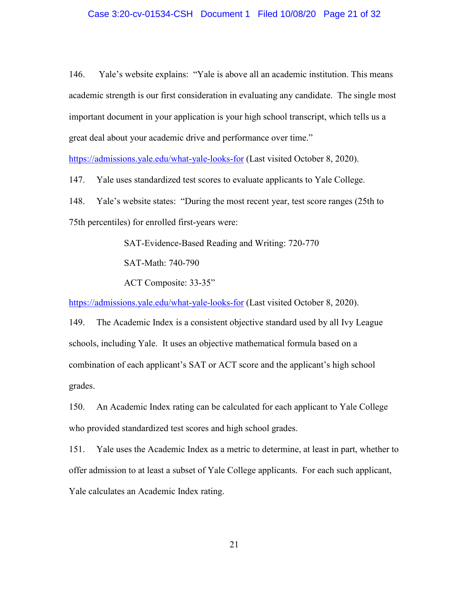## Case 3:20-cv-01534-CSH Document 1 Filed 10/08/20 Page 21 of 32

146. Yale's website explains: "Yale is above all an academic institution. This means academic strength is our first consideration in evaluating any candidate. The single most important document in your application is your high school transcript, which tells us a great deal about your academic drive and performance over time."

https://admissions.yale.edu/what-yale-looks-for (Last visited October 8, 2020).

147. Yale uses standardized test scores to evaluate applicants to Yale College.

148. Yale's website states: "During the most recent year, test score ranges (25th to 75th percentiles) for enrolled first-years were:

SAT-Evidence-Based Reading and Writing: 720-770

SAT-Math: 740-790

ACT Composite: 33-35"

https://admissions.yale.edu/what-yale-looks-for (Last visited October 8, 2020).

149. The Academic Index is a consistent objective standard used by all Ivy League schools, including Yale. It uses an objective mathematical formula based on a combination of each applicant's SAT or ACT score and the applicant's high school grades.

150. An Academic Index rating can be calculated for each applicant to Yale College who provided standardized test scores and high school grades.

151. Yale uses the Academic Index as a metric to determine, at least in part, whether to offer admission to at least a subset of Yale College applicants. For each such applicant, Yale calculates an Academic Index rating.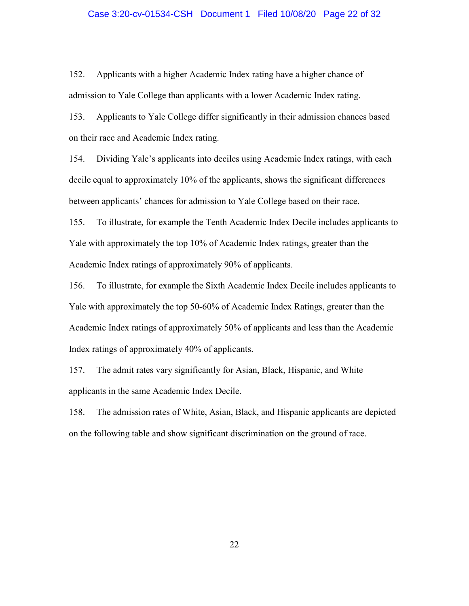## Case 3:20-cv-01534-CSH Document 1 Filed 10/08/20 Page 22 of 32

152. Applicants with a higher Academic Index rating have a higher chance of admission to Yale College than applicants with a lower Academic Index rating.

153. Applicants to Yale College differ significantly in their admission chances based on their race and Academic Index rating.

154. Dividing Yale's applicants into deciles using Academic Index ratings, with each decile equal to approximately 10% of the applicants, shows the significant differences between applicants' chances for admission to Yale College based on their race.

155. To illustrate, for example the Tenth Academic Index Decile includes applicants to Yale with approximately the top 10% of Academic Index ratings, greater than the Academic Index ratings of approximately 90% of applicants.

156. To illustrate, for example the Sixth Academic Index Decile includes applicants to Yale with approximately the top 50-60% of Academic Index Ratings, greater than the Academic Index ratings of approximately 50% of applicants and less than the Academic Index ratings of approximately 40% of applicants.

157. The admit rates vary significantly for Asian, Black, Hispanic, and White applicants in the same Academic Index Decile.

158. The admission rates of White, Asian, Black, and Hispanic applicants are depicted on the following table and show significant discrimination on the ground of race.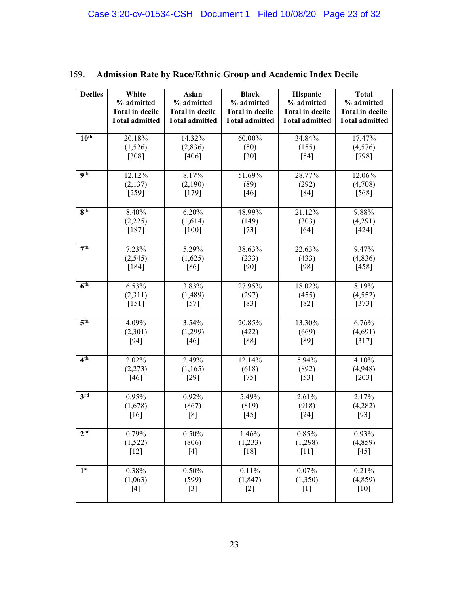| <b>Deciles</b>      | White                  | Asian                  | <b>Black</b>           | Hispanic               | <b>Total</b>           |
|---------------------|------------------------|------------------------|------------------------|------------------------|------------------------|
|                     | % admitted             | % admitted             | % admitted             | % admitted             | % admitted             |
|                     | <b>Total in decile</b> | <b>Total in decile</b> | <b>Total in decile</b> | <b>Total in decile</b> | <b>Total in decile</b> |
|                     | <b>Total admitted</b>  | <b>Total admitted</b>  | <b>Total admitted</b>  | <b>Total admitted</b>  | <b>Total admitted</b>  |
| 10 <sup>th</sup>    | $20.18\%$              | 14.32%                 | 60.00%                 | 34.84%                 | 17.47%                 |
|                     | (1,526)                | (2,836)                | (50)                   | (155)                  | (4,576)                |
|                     | $[308]$                | [406]                  | $[30]$                 | $[54]$                 | [798]                  |
| <b>9th</b>          | 12.12%                 | 8.17%                  | 51.69%                 | 28.77%                 | 12.06%                 |
|                     | (2,137)                | (2,190)                | (89)                   | (292)                  | (4,708)                |
|                     | $[259]$                | [179]                  | $[46]$                 | [84]                   | $[568]$                |
| 8 <sup>th</sup>     | 8.40%                  | 6.20%                  | 48.99%                 | 21.12%                 | 9.88%                  |
|                     | (2,225)                | (1,614)                | (149)                  | (303)                  | (4,291)                |
|                     | [187]                  | $[100]$                | $[73]$                 | [64]                   | $[424]$                |
| 7 <sup>th</sup>     | 7.23%                  | 5.29%                  | 38.63%                 | 22.63%                 | 9.47%                  |
|                     | (2, 545)               | (1,625)                | (233)                  | (433)                  | (4, 836)               |
|                     | $[184]$                | [86]                   | [90]                   | [98]                   | [458]                  |
| 6 <sup>th</sup>     | 6.53%                  | 3.83%                  | 27.95%                 | 18.02%                 | 8.19%                  |
|                     | (2,311)                | (1,489)                | (297)                  | (455)                  | (4, 552)               |
|                     | $[151]$                | $[57]$                 | [83]                   | $[82]$                 | [373]                  |
| $\overline{5^{th}}$ | 4.09%                  | 3.54%                  | 20.85%                 | 13.30%                 | 6.76%                  |
|                     | (2,301)                | (1,299)                | (422)                  | (669)                  | (4,691)                |
|                     | $[94]$                 | [46]                   | [88]                   | [89]                   | [317]                  |
| 4 <sup>th</sup>     | 2.02%                  | 2.49%                  | 12.14%                 | 5.94%                  | 4.10%                  |
|                     | (2,273)                | (1,165)                | (618)                  | (892)                  | (4,948)                |
|                     | $[46]$                 | $[29]$                 | $[75]$                 | $[53]$                 | $[203]$                |
| $3^{\text{rd}}$     | 0.95%                  | 0.92%                  | 5.49%                  | 2.61%                  | 2.17%                  |
|                     | (1,678)                | (867)                  | (819)                  | (918)                  | (4,282)                |
|                     | [16]                   | [8]                    | [45]                   | $[24]$                 | [93]                   |
| 2 <sup>nd</sup>     | 0.79%                  | 0.50%                  | 1.46%                  | 0.85%                  | 0.93%                  |
|                     | (1,522)                | (806)                  | (1,233)                | (1,298)                | (4, 859)               |
|                     | $[12]$                 | $[4]$                  | [18]                   | $[11]$                 | [45]                   |
| 1 <sup>st</sup>     | 0.38%                  | $0.50\%$               | 0.11%                  | 0.07%                  | 0.21%                  |
|                     | (1,063)                | (599)                  | (1, 847)               | (1,350)                | (4, 859)               |
|                     | $[4]$                  | $[3]$                  | $[2]$                  | $[1]$                  | [10]                   |

# 159. **Admission Rate by Race/Ethnic Group and Academic Index Decile**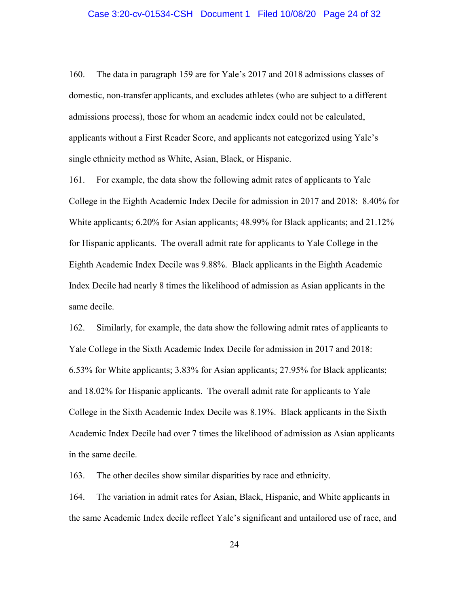#### Case 3:20-cv-01534-CSH Document 1 Filed 10/08/20 Page 24 of 32

160. The data in paragraph 159 are for Yale's 2017 and 2018 admissions classes of domestic, non-transfer applicants, and excludes athletes (who are subject to a different admissions process), those for whom an academic index could not be calculated, applicants without a First Reader Score, and applicants not categorized using Yale's single ethnicity method as White, Asian, Black, or Hispanic.

161. For example, the data show the following admit rates of applicants to Yale College in the Eighth Academic Index Decile for admission in 2017 and 2018: 8.40% for White applicants; 6.20% for Asian applicants; 48.99% for Black applicants; and 21.12% for Hispanic applicants. The overall admit rate for applicants to Yale College in the Eighth Academic Index Decile was 9.88%. Black applicants in the Eighth Academic Index Decile had nearly 8 times the likelihood of admission as Asian applicants in the same decile.

162. Similarly, for example, the data show the following admit rates of applicants to Yale College in the Sixth Academic Index Decile for admission in 2017 and 2018: 6.53% for White applicants; 3.83% for Asian applicants; 27.95% for Black applicants; and 18.02% for Hispanic applicants. The overall admit rate for applicants to Yale College in the Sixth Academic Index Decile was 8.19%. Black applicants in the Sixth Academic Index Decile had over 7 times the likelihood of admission as Asian applicants in the same decile.

163. The other deciles show similar disparities by race and ethnicity.

164. The variation in admit rates for Asian, Black, Hispanic, and White applicants in the same Academic Index decile reflect Yale's significant and untailored use of race, and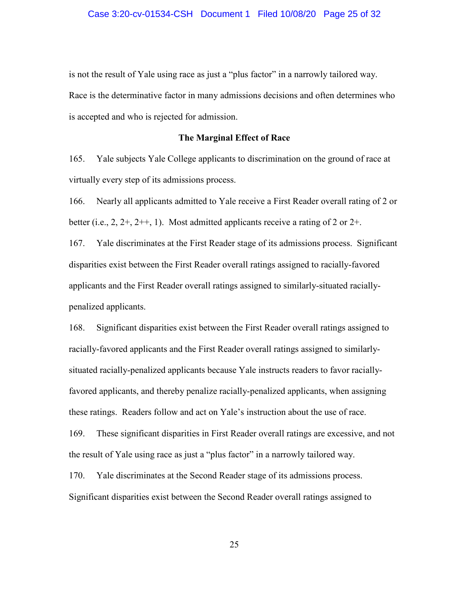is not the result of Yale using race as just a "plus factor" in a narrowly tailored way. Race is the determinative factor in many admissions decisions and often determines who is accepted and who is rejected for admission.

#### **The Marginal Effect of Race**

165. Yale subjects Yale College applicants to discrimination on the ground of race at virtually every step of its admissions process.

166. Nearly all applicants admitted to Yale receive a First Reader overall rating of 2 or better (i.e.,  $2, 2+, 2++, 1$ ). Most admitted applicants receive a rating of 2 or  $2+.$ 

167. Yale discriminates at the First Reader stage of its admissions process. Significant disparities exist between the First Reader overall ratings assigned to racially-favored applicants and the First Reader overall ratings assigned to similarly-situated raciallypenalized applicants.

168. Significant disparities exist between the First Reader overall ratings assigned to racially-favored applicants and the First Reader overall ratings assigned to similarlysituated racially-penalized applicants because Yale instructs readers to favor raciallyfavored applicants, and thereby penalize racially-penalized applicants, when assigning these ratings. Readers follow and act on Yale's instruction about the use of race.

169. These significant disparities in First Reader overall ratings are excessive, and not the result of Yale using race as just a "plus factor" in a narrowly tailored way.

170. Yale discriminates at the Second Reader stage of its admissions process. Significant disparities exist between the Second Reader overall ratings assigned to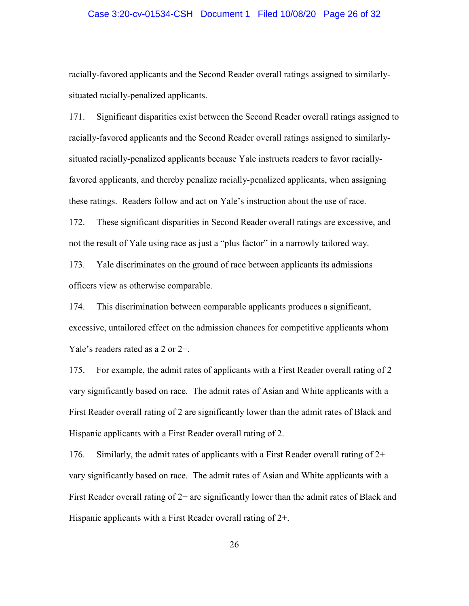## Case 3:20-cv-01534-CSH Document 1 Filed 10/08/20 Page 26 of 32

racially-favored applicants and the Second Reader overall ratings assigned to similarlysituated racially-penalized applicants.

171. Significant disparities exist between the Second Reader overall ratings assigned to racially-favored applicants and the Second Reader overall ratings assigned to similarlysituated racially-penalized applicants because Yale instructs readers to favor raciallyfavored applicants, and thereby penalize racially-penalized applicants, when assigning these ratings. Readers follow and act on Yale's instruction about the use of race.

172. These significant disparities in Second Reader overall ratings are excessive, and not the result of Yale using race as just a "plus factor" in a narrowly tailored way.

173. Yale discriminates on the ground of race between applicants its admissions officers view as otherwise comparable.

174. This discrimination between comparable applicants produces a significant, excessive, untailored effect on the admission chances for competitive applicants whom Yale's readers rated as a 2 or 2+.

175. For example, the admit rates of applicants with a First Reader overall rating of 2 vary significantly based on race. The admit rates of Asian and White applicants with a First Reader overall rating of 2 are significantly lower than the admit rates of Black and Hispanic applicants with a First Reader overall rating of 2.

176. Similarly, the admit rates of applicants with a First Reader overall rating of  $2^+$ vary significantly based on race. The admit rates of Asian and White applicants with a First Reader overall rating of  $2+$  are significantly lower than the admit rates of Black and Hispanic applicants with a First Reader overall rating of 2+.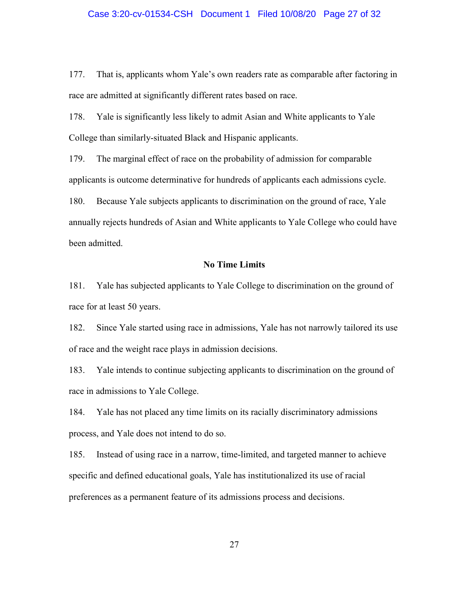#### Case 3:20-cv-01534-CSH Document 1 Filed 10/08/20 Page 27 of 32

177. That is, applicants whom Yale's own readers rate as comparable after factoring in race are admitted at significantly different rates based on race.

178. Yale is significantly less likely to admit Asian and White applicants to Yale College than similarly-situated Black and Hispanic applicants.

179. The marginal effect of race on the probability of admission for comparable applicants is outcome determinative for hundreds of applicants each admissions cycle.

180. Because Yale subjects applicants to discrimination on the ground of race, Yale annually rejects hundreds of Asian and White applicants to Yale College who could have been admitted.

#### **No Time Limits**

181. Yale has subjected applicants to Yale College to discrimination on the ground of race for at least 50 years.

182. Since Yale started using race in admissions, Yale has not narrowly tailored its use of race and the weight race plays in admission decisions.

183. Yale intends to continue subjecting applicants to discrimination on the ground of race in admissions to Yale College.

184. Yale has not placed any time limits on its racially discriminatory admissions process, and Yale does not intend to do so.

185. Instead of using race in a narrow, time-limited, and targeted manner to achieve specific and defined educational goals, Yale has institutionalized its use of racial preferences as a permanent feature of its admissions process and decisions.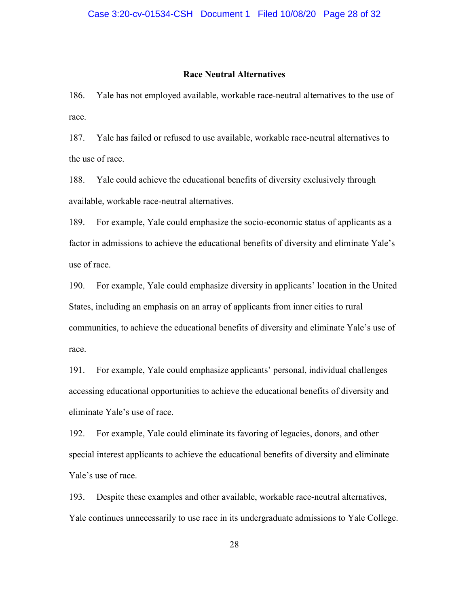#### **Race Neutral Alternatives**

186. Yale has not employed available, workable race-neutral alternatives to the use of race.

187. Yale has failed or refused to use available, workable race-neutral alternatives to the use of race.

188. Yale could achieve the educational benefits of diversity exclusively through available, workable race-neutral alternatives.

189. For example, Yale could emphasize the socio-economic status of applicants as a factor in admissions to achieve the educational benefits of diversity and eliminate Yale's use of race.

190. For example, Yale could emphasize diversity in applicants' location in the United States, including an emphasis on an array of applicants from inner cities to rural communities, to achieve the educational benefits of diversity and eliminate Yale's use of race.

191. For example, Yale could emphasize applicants' personal, individual challenges accessing educational opportunities to achieve the educational benefits of diversity and eliminate Yale's use of race.

192. For example, Yale could eliminate its favoring of legacies, donors, and other special interest applicants to achieve the educational benefits of diversity and eliminate Yale's use of race.

193. Despite these examples and other available, workable race-neutral alternatives, Yale continues unnecessarily to use race in its undergraduate admissions to Yale College.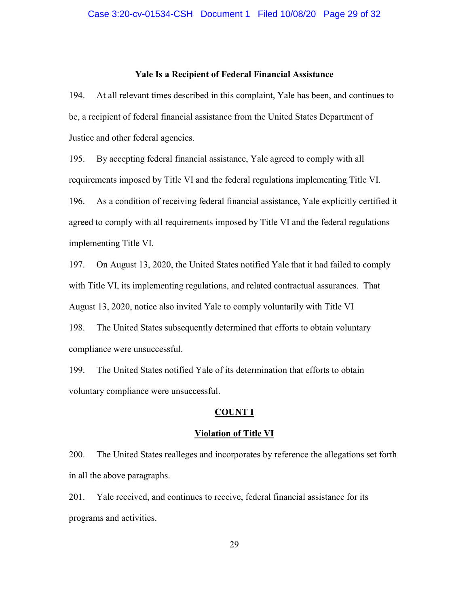#### **Yale Is a Recipient of Federal Financial Assistance**

194. At all relevant times described in this complaint, Yale has been, and continues to be, a recipient of federal financial assistance from the United States Department of Justice and other federal agencies.

195. By accepting federal financial assistance, Yale agreed to comply with all requirements imposed by Title VI and the federal regulations implementing Title VI. 196. As a condition of receiving federal financial assistance, Yale explicitly certified it agreed to comply with all requirements imposed by Title VI and the federal regulations implementing Title VI.

197. On August 13, 2020, the United States notified Yale that it had failed to comply with Title VI, its implementing regulations, and related contractual assurances. That August 13, 2020, notice also invited Yale to comply voluntarily with Title VI

198. The United States subsequently determined that efforts to obtain voluntary compliance were unsuccessful.

199. The United States notified Yale of its determination that efforts to obtain voluntary compliance were unsuccessful.

## **COUNT I**

#### **Violation of Title VI**

200. The United States realleges and incorporates by reference the allegations set forth in all the above paragraphs.

201. Yale received, and continues to receive, federal financial assistance for its programs and activities.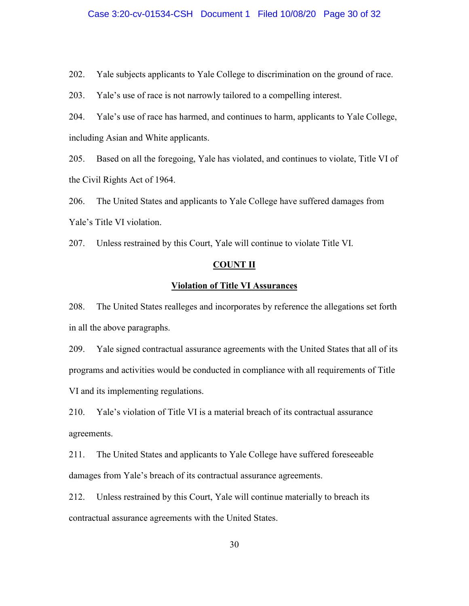## Case 3:20-cv-01534-CSH Document 1 Filed 10/08/20 Page 30 of 32

202. Yale subjects applicants to Yale College to discrimination on the ground of race.

203. Yale's use of race is not narrowly tailored to a compelling interest.

204. Yale's use of race has harmed, and continues to harm, applicants to Yale College, including Asian and White applicants.

205. Based on all the foregoing, Yale has violated, and continues to violate, Title VI of the Civil Rights Act of 1964.

206. The United States and applicants to Yale College have suffered damages from Yale's Title VI violation.

207. Unless restrained by this Court, Yale will continue to violate Title VI.

#### **COUNT II**

#### **Violation of Title VI Assurances**

208. The United States realleges and incorporates by reference the allegations set forth in all the above paragraphs.

209. Yale signed contractual assurance agreements with the United States that all of its programs and activities would be conducted in compliance with all requirements of Title VI and its implementing regulations.

210. Yale's violation of Title VI is a material breach of its contractual assurance agreements.

211. The United States and applicants to Yale College have suffered foreseeable damages from Yale's breach of its contractual assurance agreements.

212. Unless restrained by this Court, Yale will continue materially to breach its contractual assurance agreements with the United States.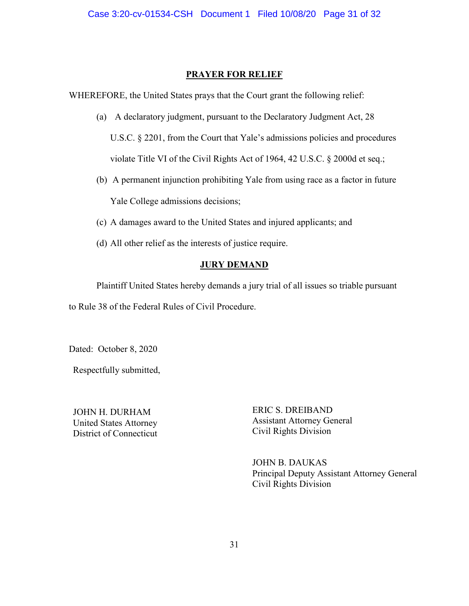# **PRAYER FOR RELIEF**

WHEREFORE, the United States prays that the Court grant the following relief:

- (a) A declaratory judgment, pursuant to the Declaratory Judgment Act, 28 U.S.C. § 2201, from the Court that Yale's admissions policies and procedures violate Title VI of the Civil Rights Act of 1964, 42 U.S.C. § 2000d et seq.;
- (b) A permanent injunction prohibiting Yale from using race as a factor in future Yale College admissions decisions;
- (c) A damages award to the United States and injured applicants; and
- (d) All other relief as the interests of justice require.

# **JURY DEMAND**

Plaintiff United States hereby demands a jury trial of all issues so triable pursuant to Rule 38 of the Federal Rules of Civil Procedure.

Dated: October 8, 2020

Respectfully submitted,

JOHN H. DURHAM United States Attorney District of Connecticut ERIC S. DREIBAND Assistant Attorney General Civil Rights Division

JOHN B. DAUKAS Principal Deputy Assistant Attorney General Civil Rights Division